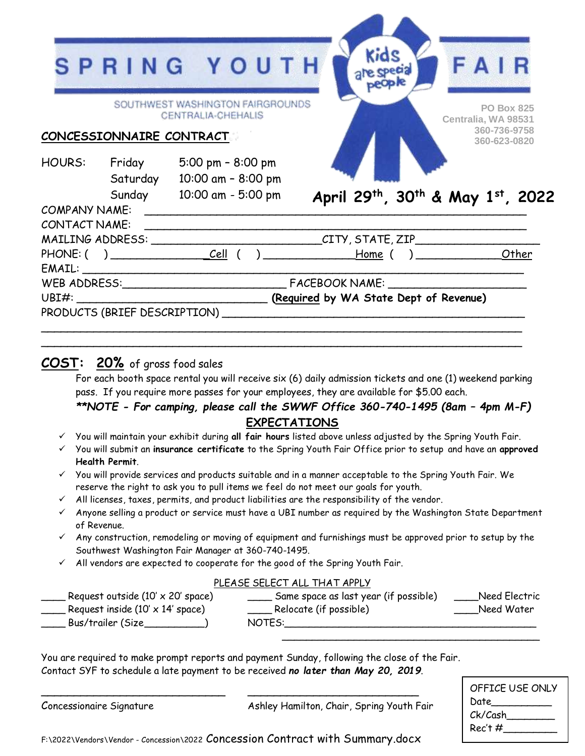|                      |                              | SPRING YOUTH                                           | Kids<br>are special                                                              | FAIR                                     |
|----------------------|------------------------------|--------------------------------------------------------|----------------------------------------------------------------------------------|------------------------------------------|
|                      |                              | SOUTHWEST WASHINGTON FAIRGROUNDS<br>CENTRALIA-CHEHALIS |                                                                                  | <b>PO Box 825</b><br>Centralia, WA 98531 |
|                      | CONCESSIONNAIRE CONTRACT     |                                                        |                                                                                  | 360-736-9758<br>360-623-0820             |
|                      | Saturday                     | HOURS: Friday 5:00 pm - 8:00 pm<br>10:00 am - 8:00 pm  |                                                                                  |                                          |
| <b>COMPANY NAME:</b> |                              | Sunday 10:00 am - 5:00 pm                              | April 29th, 30th & May 1st, 2022                                                 |                                          |
| <b>CONTACT NAME:</b> |                              |                                                        |                                                                                  |                                          |
|                      |                              |                                                        | MAILING ADDRESS: _______________________________CITY, STATE, ZIP________________ |                                          |
|                      |                              |                                                        | ____________Home ( ) _________________Other                                      |                                          |
|                      |                              | EMAIL:                                                 |                                                                                  |                                          |
|                      |                              |                                                        |                                                                                  |                                          |
| UBI#:                |                              |                                                        | (Required by WA State Dept of Revenue)                                           |                                          |
|                      | PRODUCTS (BRIEF DESCRIPTION) |                                                        |                                                                                  |                                          |

## **COST: 20%** of gross food sales

For each booth space rental you will receive six (6) daily admission tickets and one (1) weekend parking pass. If you require more passes for your employees, they are available for \$5.00 each.

### *\*\*NOTE - For camping, please call the SWWF Office 360-740-1495 (8am - 4pm M-F)* **EXPECTATIONS**

You will maintain your exhibit during **all fair hours** listed above unless adjusted by the Spring Youth Fair.

 $\sim$  . The component of the component of the component of the component of the component of the component of the component

- You will submit an **insurance certificate** to the Spring Youth Fair Office prior to setup and have an **approved Health Permit**.
- $\checkmark$  You will provide services and products suitable and in a manner acceptable to the Spring Youth Fair. We reserve the right to ask you to pull items we feel do not meet our goals for youth.
- $\checkmark$  All licenses, taxes, permits, and product liabilities are the responsibility of the vendor.
- $\checkmark$  Anyone selling a product or service must have a UBI number as required by the Washington State Department of Revenue.
- $\checkmark$  Any construction, remodeling or moving of equipment and furnishings must be approved prior to setup by the Southwest Washington Fair Manager at 360-740-1495.
- $\checkmark$  All vendors are expected to cooperate for the good of the Spring Youth Fair.

#### PLEASE SELECT ALL THAT APPLY

| Request outside $(10' \times 20'$ space) | Same space as last year (if possible) | Need Electric |
|------------------------------------------|---------------------------------------|---------------|
| Request inside $(10' \times 14'$ space)  | Relocate (if possible)                | Need Water    |
| Bus/trailer (Size                        | NOTES:                                |               |

You are required to make prompt reports and payment Sunday, following the close of the Fair. Contact SYF to schedule a late payment to be received *no later than May 20, 2019*.

Concessionaire Signature **Ashley Hamilton, Chair, Spring Youth Fair** 

\_\_\_\_\_\_\_\_\_\_\_\_\_\_\_\_\_\_\_\_\_\_\_\_\_\_\_\_\_\_\_\_\_\_\_\_\_\_\_\_\_\_\_

| OFFICE USE ONLY |
|-----------------|
| Date            |
| Ck/Cash         |
| Rec't #         |
|                 |

F:\2022\Vendors\Vendor - Concession\2022 Concession Contract with Summary.docx

 $\overline{\phantom{a}}$  , and the contract of the contract of the contract of the contract of the contract of the contract of the contract of the contract of the contract of the contract of the contract of the contract of the contrac